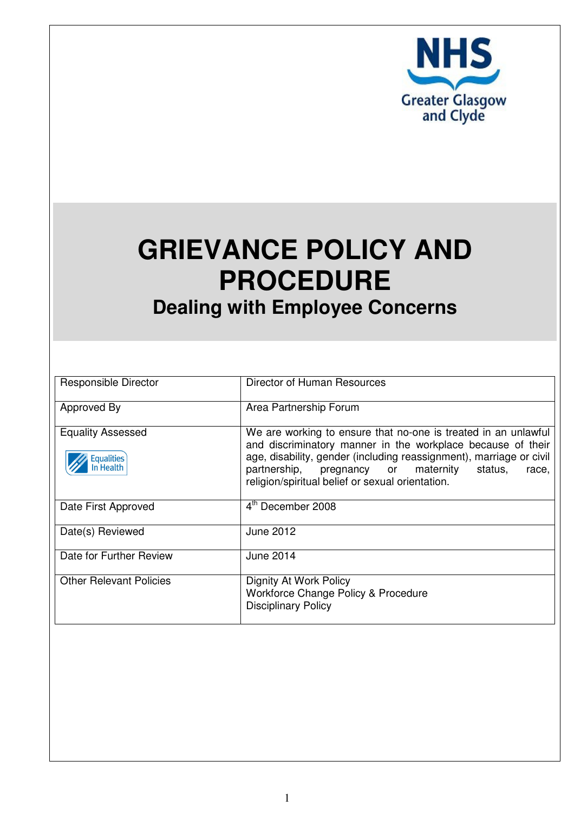

# **GRIEVANCE POLICY AND PROCEDURE Dealing with Employee Concerns**

| Responsible Director                                      | Director of Human Resources                                                                                                                                                                                                                                                                                         |  |  |
|-----------------------------------------------------------|---------------------------------------------------------------------------------------------------------------------------------------------------------------------------------------------------------------------------------------------------------------------------------------------------------------------|--|--|
| Approved By                                               | Area Partnership Forum                                                                                                                                                                                                                                                                                              |  |  |
| <b>Equality Assessed</b><br><b>Equalities</b><br>n Health | We are working to ensure that no-one is treated in an unlawful<br>and discriminatory manner in the workplace because of their<br>age, disability, gender (including reassignment), marriage or civil<br>partnership, pregnancy or maternity<br>status,<br>race,<br>religion/spiritual belief or sexual orientation. |  |  |
| Date First Approved                                       | 4 <sup>th</sup> December 2008                                                                                                                                                                                                                                                                                       |  |  |
| Date(s) Reviewed                                          | June 2012                                                                                                                                                                                                                                                                                                           |  |  |
| Date for Further Review                                   | June 2014                                                                                                                                                                                                                                                                                                           |  |  |
| <b>Other Relevant Policies</b>                            | Dignity At Work Policy<br>Workforce Change Policy & Procedure<br><b>Disciplinary Policy</b>                                                                                                                                                                                                                         |  |  |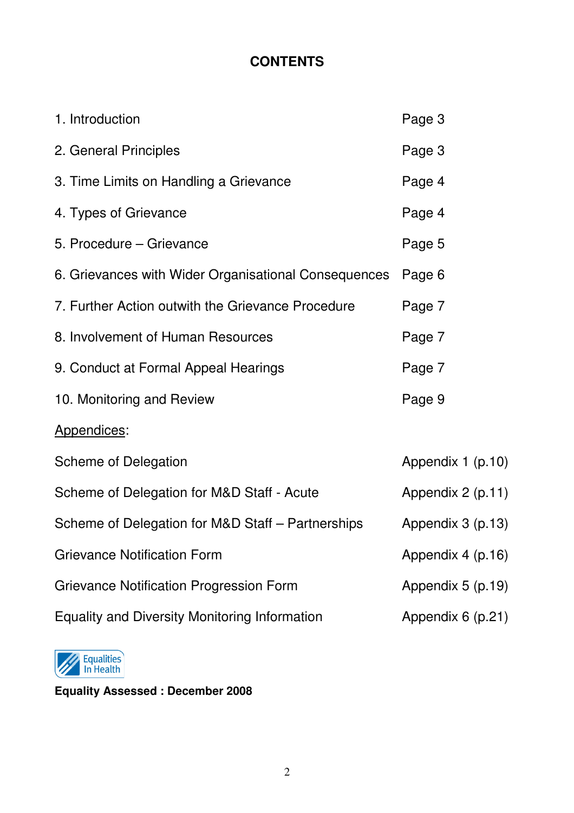# **CONTENTS**

| 1. Introduction                                      | Page 3            |
|------------------------------------------------------|-------------------|
| 2. General Principles                                | Page 3            |
| 3. Time Limits on Handling a Grievance               | Page 4            |
| 4. Types of Grievance                                | Page 4            |
| 5. Procedure – Grievance                             | Page 5            |
| 6. Grievances with Wider Organisational Consequences | Page 6            |
| 7. Further Action outwith the Grievance Procedure    | Page 7            |
| 8. Involvement of Human Resources                    | Page 7            |
| 9. Conduct at Formal Appeal Hearings                 | Page 7            |
| 10. Monitoring and Review                            | Page 9            |
| Appendices:                                          |                   |
| <b>Scheme of Delegation</b>                          | Appendix 1 (p.10) |
| Scheme of Delegation for M&D Staff - Acute           | Appendix 2 (p.11) |
| Scheme of Delegation for M&D Staff - Partnerships    | Appendix 3 (p.13) |
| <b>Grievance Notification Form</b>                   | Appendix 4 (p.16) |
| <b>Grievance Notification Progression Form</b>       | Appendix 5 (p.19) |
| <b>Equality and Diversity Monitoring Information</b> | Appendix 6 (p.21) |



**Equality Assessed : December 2008**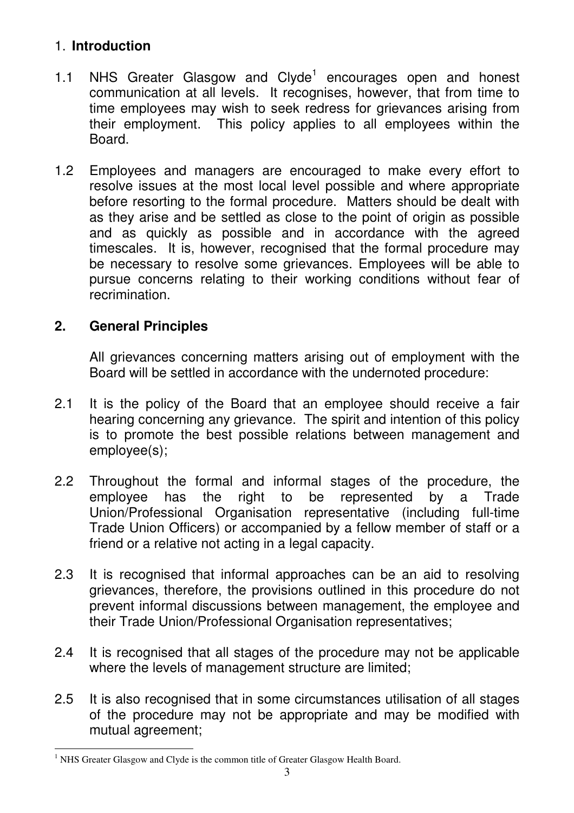## 1. **Introduction**

- 1.1 NHS Greater Glasgow and Clyde<sup>1</sup> encourages open and honest communication at all levels. It recognises, however, that from time to time employees may wish to seek redress for grievances arising from their employment. This policy applies to all employees within the Board.
- 1.2 Employees and managers are encouraged to make every effort to resolve issues at the most local level possible and where appropriate before resorting to the formal procedure. Matters should be dealt with as they arise and be settled as close to the point of origin as possible and as quickly as possible and in accordance with the agreed timescales. It is, however, recognised that the formal procedure may be necessary to resolve some grievances. Employees will be able to pursue concerns relating to their working conditions without fear of recrimination.

## **2. General Principles**

All grievances concerning matters arising out of employment with the Board will be settled in accordance with the undernoted procedure:

- 2.1 It is the policy of the Board that an employee should receive a fair hearing concerning any grievance. The spirit and intention of this policy is to promote the best possible relations between management and employee(s);
- 2.2 Throughout the formal and informal stages of the procedure, the employee has the right to be represented by a Trade Union/Professional Organisation representative (including full-time Trade Union Officers) or accompanied by a fellow member of staff or a friend or a relative not acting in a legal capacity.
- 2.3 It is recognised that informal approaches can be an aid to resolving grievances, therefore, the provisions outlined in this procedure do not prevent informal discussions between management, the employee and their Trade Union/Professional Organisation representatives;
- 2.4 It is recognised that all stages of the procedure may not be applicable where the levels of management structure are limited;
- 2.5 It is also recognised that in some circumstances utilisation of all stages of the procedure may not be appropriate and may be modified with mutual agreement;

 1 NHS Greater Glasgow and Clyde is the common title of Greater Glasgow Health Board.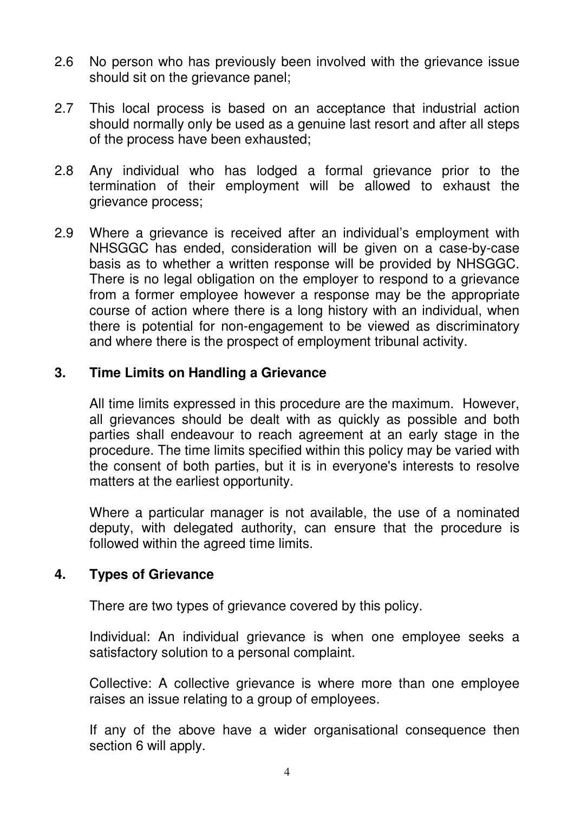- 2.6 No person who has previously been involved with the grievance issue should sit on the grievance panel;
- 2.7 This local process is based on an acceptance that industrial action should normally only be used as a genuine last resort and after all steps of the process have been exhausted;
- 2.8 Any individual who has lodged a formal grievance prior to the termination of their employment will be allowed to exhaust the grievance process;
- 2.9 Where a grievance is received after an individual's employment with NHSGGC has ended, consideration will be given on a case-by-case basis as to whether a written response will be provided by NHSGGC. There is no legal obligation on the employer to respond to a grievance from a former employee however a response may be the appropriate course of action where there is a long history with an individual, when there is potential for non-engagement to be viewed as discriminatory and where there is the prospect of employment tribunal activity.

## **3. Time Limits on Handling a Grievance**

All time limits expressed in this procedure are the maximum. However, all grievances should be dealt with as quickly as possible and both parties shall endeavour to reach agreement at an early stage in the procedure. The time limits specified within this policy may be varied with the consent of both parties, but it is in everyone's interests to resolve matters at the earliest opportunity.

Where a particular manager is not available, the use of a nominated deputy, with delegated authority, can ensure that the procedure is followed within the agreed time limits.

#### **4. Types of Grievance**

There are two types of grievance covered by this policy.

Individual: An individual grievance is when one employee seeks a satisfactory solution to a personal complaint.

Collective: A collective grievance is where more than one employee raises an issue relating to a group of employees.

If any of the above have a wider organisational consequence then section 6 will apply.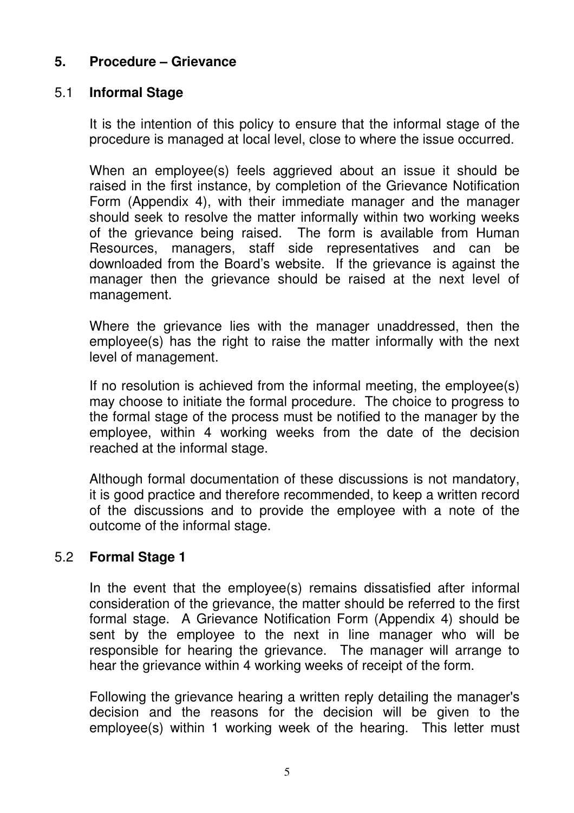## **5. Procedure – Grievance**

## 5.1 **Informal Stage**

It is the intention of this policy to ensure that the informal stage of the procedure is managed at local level, close to where the issue occurred.

When an employee(s) feels aggrieved about an issue it should be raised in the first instance, by completion of the Grievance Notification Form (Appendix 4), with their immediate manager and the manager should seek to resolve the matter informally within two working weeks of the grievance being raised. The form is available from Human Resources, managers, staff side representatives and can be downloaded from the Board's website. If the grievance is against the manager then the grievance should be raised at the next level of management.

Where the grievance lies with the manager unaddressed, then the employee(s) has the right to raise the matter informally with the next level of management.

If no resolution is achieved from the informal meeting, the employee(s) may choose to initiate the formal procedure. The choice to progress to the formal stage of the process must be notified to the manager by the employee, within 4 working weeks from the date of the decision reached at the informal stage.

Although formal documentation of these discussions is not mandatory, it is good practice and therefore recommended, to keep a written record of the discussions and to provide the employee with a note of the outcome of the informal stage.

#### 5.2 **Formal Stage 1**

In the event that the employee(s) remains dissatisfied after informal consideration of the grievance, the matter should be referred to the first formal stage. A Grievance Notification Form (Appendix 4) should be sent by the employee to the next in line manager who will be responsible for hearing the grievance. The manager will arrange to hear the grievance within 4 working weeks of receipt of the form.

Following the grievance hearing a written reply detailing the manager's decision and the reasons for the decision will be given to the employee(s) within 1 working week of the hearing. This letter must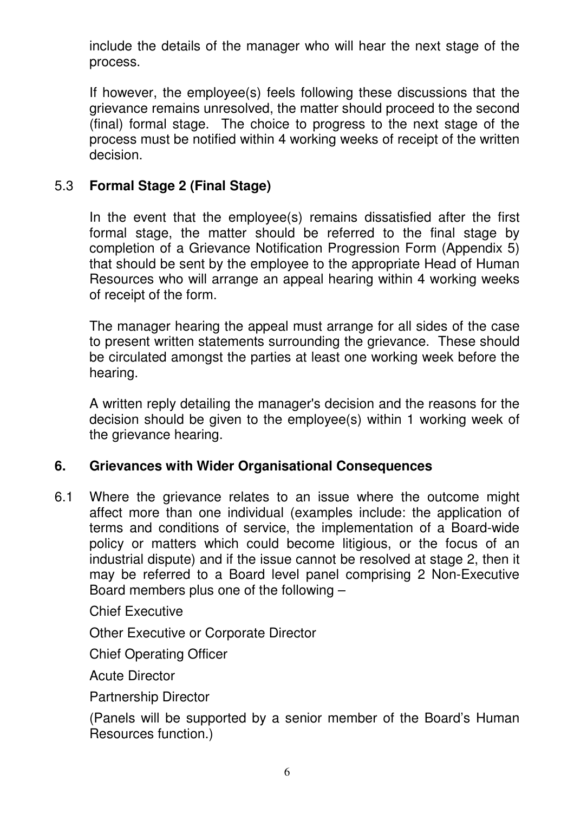include the details of the manager who will hear the next stage of the process.

If however, the employee(s) feels following these discussions that the grievance remains unresolved, the matter should proceed to the second (final) formal stage. The choice to progress to the next stage of the process must be notified within 4 working weeks of receipt of the written decision.

## 5.3 **Formal Stage 2 (Final Stage)**

In the event that the employee(s) remains dissatisfied after the first formal stage, the matter should be referred to the final stage by completion of a Grievance Notification Progression Form (Appendix 5) that should be sent by the employee to the appropriate Head of Human Resources who will arrange an appeal hearing within 4 working weeks of receipt of the form.

The manager hearing the appeal must arrange for all sides of the case to present written statements surrounding the grievance. These should be circulated amongst the parties at least one working week before the hearing.

A written reply detailing the manager's decision and the reasons for the decision should be given to the employee(s) within 1 working week of the grievance hearing.

#### **6. Grievances with Wider Organisational Consequences**

6.1 Where the grievance relates to an issue where the outcome might affect more than one individual (examples include: the application of terms and conditions of service, the implementation of a Board-wide policy or matters which could become litigious, or the focus of an industrial dispute) and if the issue cannot be resolved at stage 2, then it may be referred to a Board level panel comprising 2 Non-Executive Board members plus one of the following –

Chief Executive

Other Executive or Corporate Director

Chief Operating Officer

Acute Director

Partnership Director

(Panels will be supported by a senior member of the Board's Human Resources function.)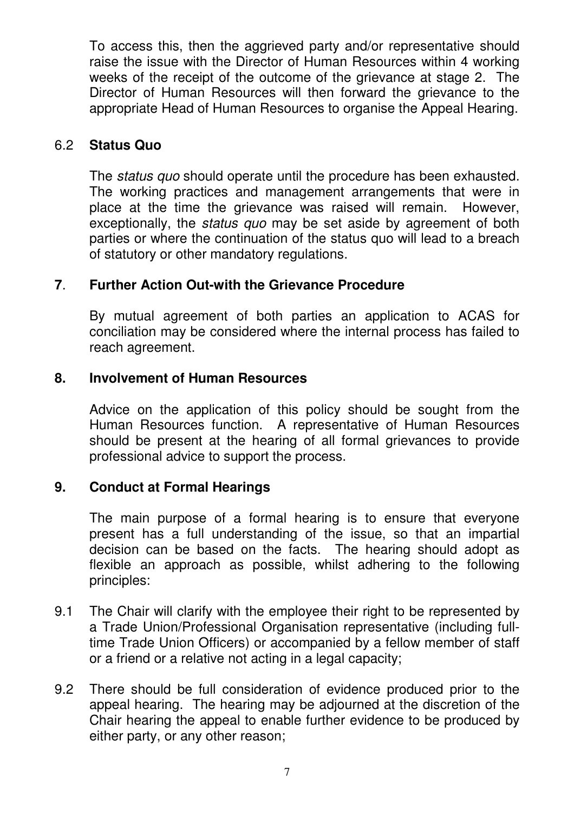To access this, then the aggrieved party and/or representative should raise the issue with the Director of Human Resources within 4 working weeks of the receipt of the outcome of the grievance at stage 2. The Director of Human Resources will then forward the grievance to the appropriate Head of Human Resources to organise the Appeal Hearing.

#### 6.2 **Status Quo**

The *status quo* should operate until the procedure has been exhausted. The working practices and management arrangements that were in place at the time the grievance was raised will remain. However, exceptionally, the *status quo* may be set aside by agreement of both parties or where the continuation of the status quo will lead to a breach of statutory or other mandatory regulations.

## **7**. **Further Action Out-with the Grievance Procedure**

By mutual agreement of both parties an application to ACAS for conciliation may be considered where the internal process has failed to reach agreement.

## **8. Involvement of Human Resources**

Advice on the application of this policy should be sought from the Human Resources function. A representative of Human Resources should be present at the hearing of all formal grievances to provide professional advice to support the process.

## **9. Conduct at Formal Hearings**

The main purpose of a formal hearing is to ensure that everyone present has a full understanding of the issue, so that an impartial decision can be based on the facts. The hearing should adopt as flexible an approach as possible, whilst adhering to the following principles:

- 9.1 The Chair will clarify with the employee their right to be represented by a Trade Union/Professional Organisation representative (including fulltime Trade Union Officers) or accompanied by a fellow member of staff or a friend or a relative not acting in a legal capacity;
- 9.2 There should be full consideration of evidence produced prior to the appeal hearing. The hearing may be adjourned at the discretion of the Chair hearing the appeal to enable further evidence to be produced by either party, or any other reason;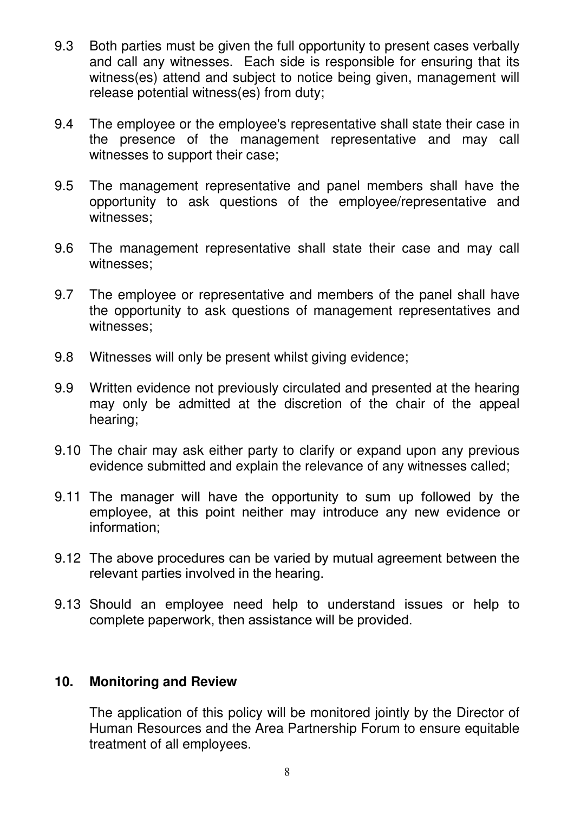- 9.3 Both parties must be given the full opportunity to present cases verbally and call any witnesses. Each side is responsible for ensuring that its witness(es) attend and subject to notice being given, management will release potential witness(es) from duty;
- 9.4 The employee or the employee's representative shall state their case in the presence of the management representative and may call witnesses to support their case;
- 9.5 The management representative and panel members shall have the opportunity to ask questions of the employee/representative and witnesses;
- 9.6 The management representative shall state their case and may call witnesses;
- 9.7 The employee or representative and members of the panel shall have the opportunity to ask questions of management representatives and witnesses;
- 9.8 Witnesses will only be present whilst giving evidence;
- 9.9 Written evidence not previously circulated and presented at the hearing may only be admitted at the discretion of the chair of the appeal hearing;
- 9.10 The chair may ask either party to clarify or expand upon any previous evidence submitted and explain the relevance of any witnesses called;
- 9.11 The manager will have the opportunity to sum up followed by the employee, at this point neither may introduce any new evidence or information;
- 9.12 The above procedures can be varied by mutual agreement between the relevant parties involved in the hearing.
- 9.13 Should an employee need help to understand issues or help to complete paperwork, then assistance will be provided.

#### **10. Monitoring and Review**

The application of this policy will be monitored jointly by the Director of Human Resources and the Area Partnership Forum to ensure equitable treatment of all employees.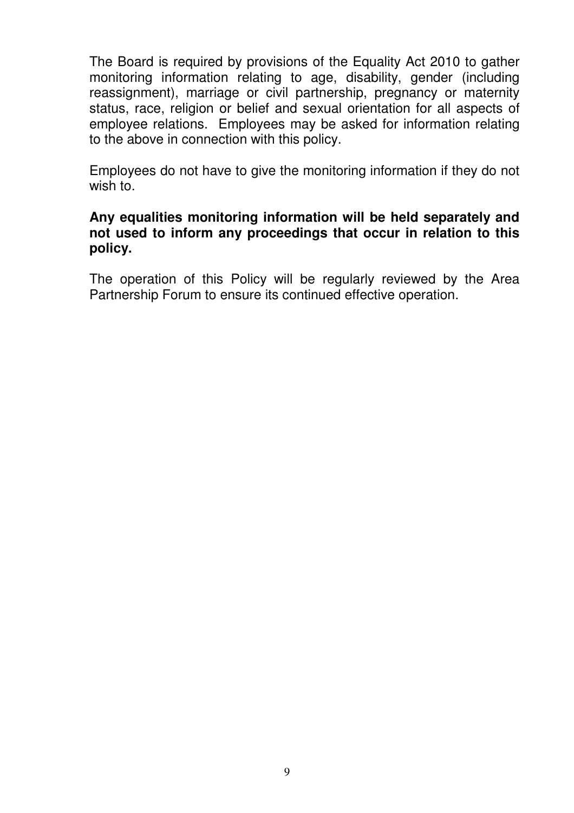The Board is required by provisions of the Equality Act 2010 to gather monitoring information relating to age, disability, gender (including reassignment), marriage or civil partnership, pregnancy or maternity status, race, religion or belief and sexual orientation for all aspects of employee relations. Employees may be asked for information relating to the above in connection with this policy.

Employees do not have to give the monitoring information if they do not wish to.

#### **Any equalities monitoring information will be held separately and not used to inform any proceedings that occur in relation to this policy.**

The operation of this Policy will be regularly reviewed by the Area Partnership Forum to ensure its continued effective operation.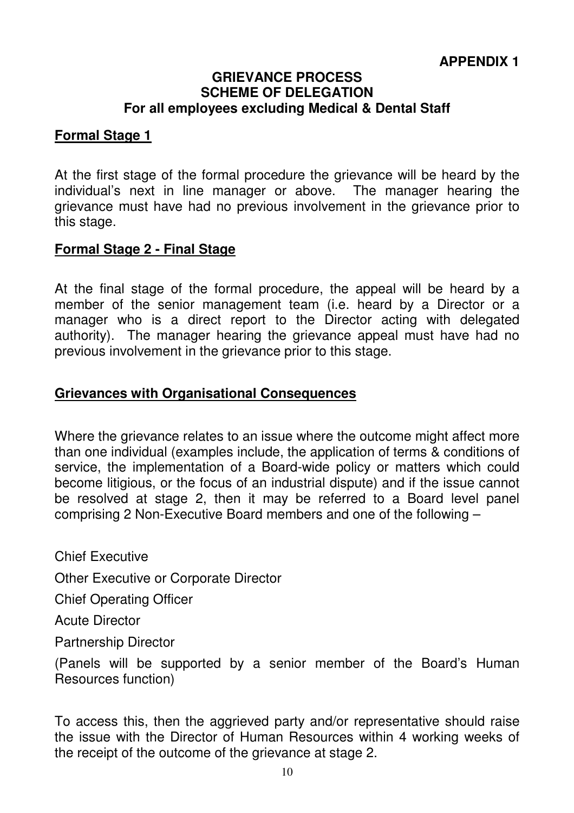#### **GRIEVANCE PROCESS SCHEME OF DELEGATION For all employees excluding Medical & Dental Staff**

#### **Formal Stage 1**

At the first stage of the formal procedure the grievance will be heard by the individual's next in line manager or above. The manager hearing the grievance must have had no previous involvement in the grievance prior to this stage.

#### **Formal Stage 2 - Final Stage**

At the final stage of the formal procedure, the appeal will be heard by a member of the senior management team (i.e. heard by a Director or a manager who is a direct report to the Director acting with delegated authority). The manager hearing the grievance appeal must have had no previous involvement in the grievance prior to this stage.

#### **Grievances with Organisational Consequences**

Where the grievance relates to an issue where the outcome might affect more than one individual (examples include, the application of terms & conditions of service, the implementation of a Board-wide policy or matters which could become litigious, or the focus of an industrial dispute) and if the issue cannot be resolved at stage 2, then it may be referred to a Board level panel comprising 2 Non-Executive Board members and one of the following –

Chief Executive

Other Executive or Corporate Director

Chief Operating Officer

Acute Director

Partnership Director

(Panels will be supported by a senior member of the Board's Human Resources function)

To access this, then the aggrieved party and/or representative should raise the issue with the Director of Human Resources within 4 working weeks of the receipt of the outcome of the grievance at stage 2.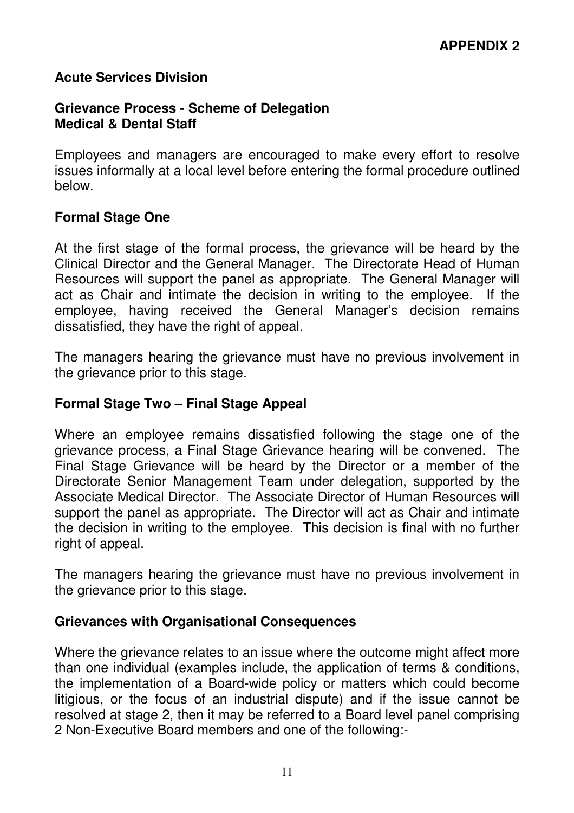#### **Acute Services Division**

#### **Grievance Process - Scheme of Delegation Medical & Dental Staff**

Employees and managers are encouraged to make every effort to resolve issues informally at a local level before entering the formal procedure outlined below.

#### **Formal Stage One**

At the first stage of the formal process, the grievance will be heard by the Clinical Director and the General Manager. The Directorate Head of Human Resources will support the panel as appropriate. The General Manager will act as Chair and intimate the decision in writing to the employee. If the employee, having received the General Manager's decision remains dissatisfied, they have the right of appeal.

The managers hearing the grievance must have no previous involvement in the grievance prior to this stage.

#### **Formal Stage Two – Final Stage Appeal**

Where an employee remains dissatisfied following the stage one of the grievance process, a Final Stage Grievance hearing will be convened. The Final Stage Grievance will be heard by the Director or a member of the Directorate Senior Management Team under delegation, supported by the Associate Medical Director. The Associate Director of Human Resources will support the panel as appropriate. The Director will act as Chair and intimate the decision in writing to the employee. This decision is final with no further right of appeal.

The managers hearing the grievance must have no previous involvement in the grievance prior to this stage.

#### **Grievances with Organisational Consequences**

Where the grievance relates to an issue where the outcome might affect more than one individual (examples include, the application of terms & conditions, the implementation of a Board-wide policy or matters which could become litigious, or the focus of an industrial dispute) and if the issue cannot be resolved at stage 2, then it may be referred to a Board level panel comprising 2 Non-Executive Board members and one of the following:-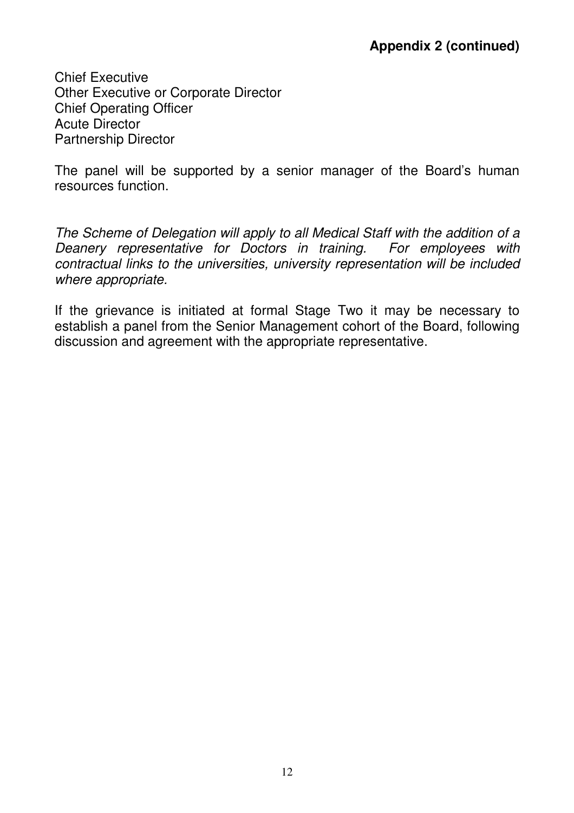Chief Executive Other Executive or Corporate Director Chief Operating Officer Acute Director Partnership Director

The panel will be supported by a senior manager of the Board's human resources function.

The Scheme of Delegation will apply to all Medical Staff with the addition of a Deanery representative for Doctors in training. For employees with contractual links to the universities, university representation will be included where appropriate.

If the grievance is initiated at formal Stage Two it may be necessary to establish a panel from the Senior Management cohort of the Board, following discussion and agreement with the appropriate representative.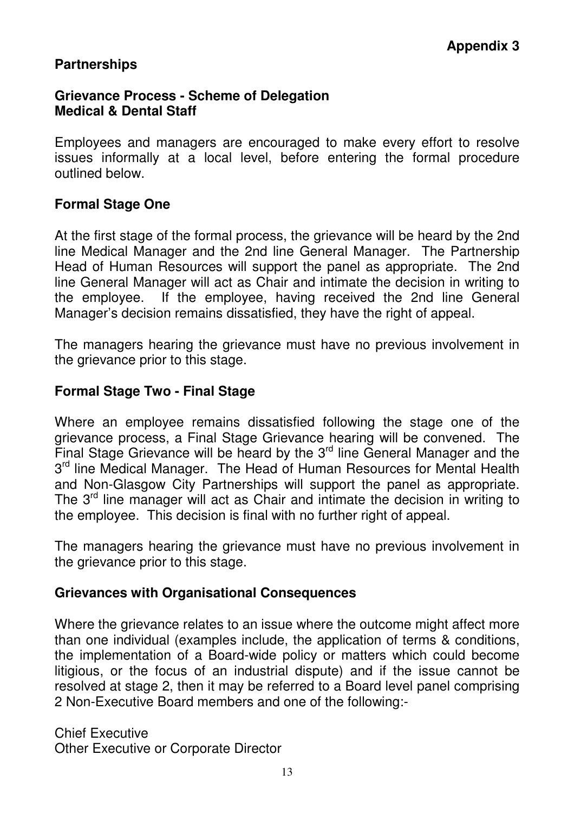## **Partnerships**

#### **Grievance Process - Scheme of Delegation Medical & Dental Staff**

Employees and managers are encouraged to make every effort to resolve issues informally at a local level, before entering the formal procedure outlined below.

#### **Formal Stage One**

At the first stage of the formal process, the grievance will be heard by the 2nd line Medical Manager and the 2nd line General Manager. The Partnership Head of Human Resources will support the panel as appropriate. The 2nd line General Manager will act as Chair and intimate the decision in writing to the employee. If the employee, having received the 2nd line General Manager's decision remains dissatisfied, they have the right of appeal.

The managers hearing the grievance must have no previous involvement in the grievance prior to this stage.

#### **Formal Stage Two - Final Stage**

Where an employee remains dissatisfied following the stage one of the grievance process, a Final Stage Grievance hearing will be convened. The Final Stage Grievance will be heard by the  $3<sup>rd</sup>$  line General Manager and the 3<sup>rd</sup> line Medical Manager. The Head of Human Resources for Mental Health and Non-Glasgow City Partnerships will support the panel as appropriate. The 3<sup>rd</sup> line manager will act as Chair and intimate the decision in writing to the employee. This decision is final with no further right of appeal.

The managers hearing the grievance must have no previous involvement in the grievance prior to this stage.

#### **Grievances with Organisational Consequences**

Where the grievance relates to an issue where the outcome might affect more than one individual (examples include, the application of terms & conditions, the implementation of a Board-wide policy or matters which could become litigious, or the focus of an industrial dispute) and if the issue cannot be resolved at stage 2, then it may be referred to a Board level panel comprising 2 Non-Executive Board members and one of the following:-

Chief Executive Other Executive or Corporate Director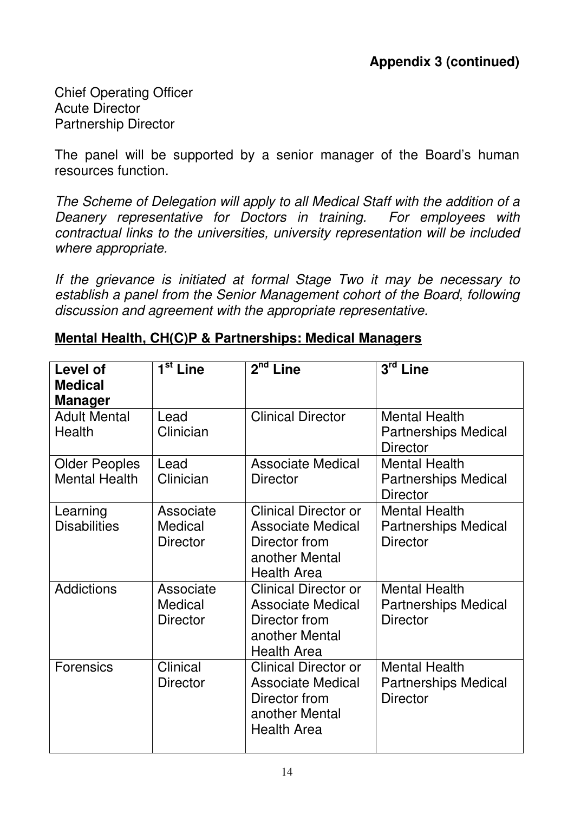Chief Operating Officer Acute Director Partnership Director

The panel will be supported by a senior manager of the Board's human resources function.

The Scheme of Delegation will apply to all Medical Staff with the addition of a Deanery representative for Doctors in training. For employees with contractual links to the universities, university representation will be included where appropriate.

If the grievance is initiated at formal Stage Two it may be necessary to establish a panel from the Senior Management cohort of the Board, following discussion and agreement with the appropriate representative.

## **Mental Health, CH(C)P & Partnerships: Medical Managers**

| Level of<br><b>Medical</b><br><b>Manager</b> | $\overline{1^{st}}$ Line                | $2nd$ Line                                                                                                       | $3^{\overline{\text{rd}} }$ Line                                       |
|----------------------------------------------|-----------------------------------------|------------------------------------------------------------------------------------------------------------------|------------------------------------------------------------------------|
| <b>Adult Mental</b><br>Health                | Lead<br>Clinician                       | <b>Clinical Director</b>                                                                                         | <b>Mental Health</b><br><b>Partnerships Medical</b><br><b>Director</b> |
| <b>Older Peoples</b><br><b>Mental Health</b> | Lead<br>Clinician                       | <b>Associate Medical</b><br><b>Director</b>                                                                      | <b>Mental Health</b><br><b>Partnerships Medical</b><br><b>Director</b> |
| Learning<br><b>Disabilities</b>              | Associate<br>Medical<br><b>Director</b> | <b>Clinical Director or</b><br><b>Associate Medical</b><br>Director from<br>another Mental<br><b>Health Area</b> | <b>Mental Health</b><br><b>Partnerships Medical</b><br><b>Director</b> |
| <b>Addictions</b>                            | Associate<br>Medical<br><b>Director</b> | <b>Clinical Director or</b><br><b>Associate Medical</b><br>Director from<br>another Mental<br><b>Health Area</b> | <b>Mental Health</b><br><b>Partnerships Medical</b><br><b>Director</b> |
| <b>Forensics</b>                             | Clinical<br><b>Director</b>             | <b>Clinical Director or</b><br><b>Associate Medical</b><br>Director from<br>another Mental<br><b>Health Area</b> | <b>Mental Health</b><br><b>Partnerships Medical</b><br><b>Director</b> |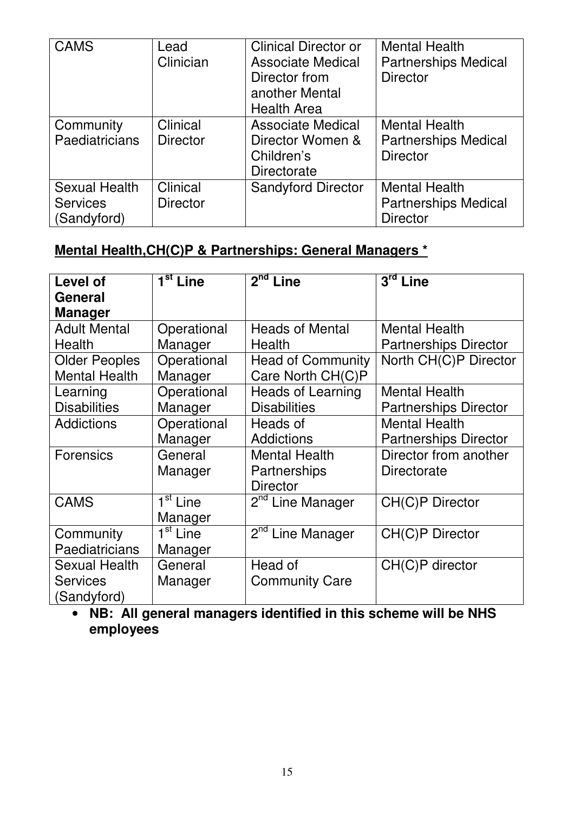| <b>CAMS</b>                                            | Lead<br>Clinician           | <b>Clinical Director or</b><br><b>Associate Medical</b><br>Director from<br>another Mental<br><b>Health Area</b> | <b>Mental Health</b><br><b>Partnerships Medical</b><br><b>Director</b> |
|--------------------------------------------------------|-----------------------------|------------------------------------------------------------------------------------------------------------------|------------------------------------------------------------------------|
| Community<br><b>Paediatricians</b>                     | Clinical<br><b>Director</b> | <b>Associate Medical</b><br>Director Women &<br>Children's<br>Directorate                                        | <b>Mental Health</b><br><b>Partnerships Medical</b><br><b>Director</b> |
| <b>Sexual Health</b><br><b>Services</b><br>(Sandyford) | Clinical<br><b>Director</b> | <b>Sandyford Director</b>                                                                                        | <b>Mental Health</b><br><b>Partnerships Medical</b><br><b>Director</b> |

## **Mental Health,CH(C)P & Partnerships: General Managers \***

| Level of             | 1 <sup>st</sup> Line | $2nd$ Line                   | $3rd$ Line                   |
|----------------------|----------------------|------------------------------|------------------------------|
|                      |                      |                              |                              |
| General              |                      |                              |                              |
| <b>Manager</b>       |                      |                              |                              |
| <b>Adult Mental</b>  | Operational          | <b>Heads of Mental</b>       | <b>Mental Health</b>         |
| Health               | Manager              | Health                       | <b>Partnerships Director</b> |
| <b>Older Peoples</b> | Operational          | <b>Head of Community</b>     | North CH(C)P Director        |
| <b>Mental Health</b> | Manager              | Care North CH(C)P            |                              |
| Learning             | Operational          | <b>Heads of Learning</b>     | <b>Mental Health</b>         |
| <b>Disabilities</b>  | Manager              | <b>Disabilities</b>          | <b>Partnerships Director</b> |
| <b>Addictions</b>    | Operational          | Heads of                     | <b>Mental Health</b>         |
|                      | Manager              | <b>Addictions</b>            | <b>Partnerships Director</b> |
| <b>Forensics</b>     | General              | <b>Mental Health</b>         | Director from another        |
|                      | Manager              | Partnerships                 | Directorate                  |
|                      |                      | <b>Director</b>              |                              |
| <b>CAMS</b>          | 1 <sup>st</sup> Line | 2 <sup>nd</sup> Line Manager | CH(C)P Director              |
|                      | Manager              |                              |                              |
| Community            | 1 <sup>st</sup> Line | 2 <sup>nd</sup> Line Manager | CH(C)P Director              |
| Paediatricians       | Manager              |                              |                              |
| <b>Sexual Health</b> | General              | Head of                      | CH(C)P director              |
| <b>Services</b>      | Manager              | <b>Community Care</b>        |                              |
| (Sandyford)          |                      |                              |                              |

• **NB: All general managers identified in this scheme will be NHS employees**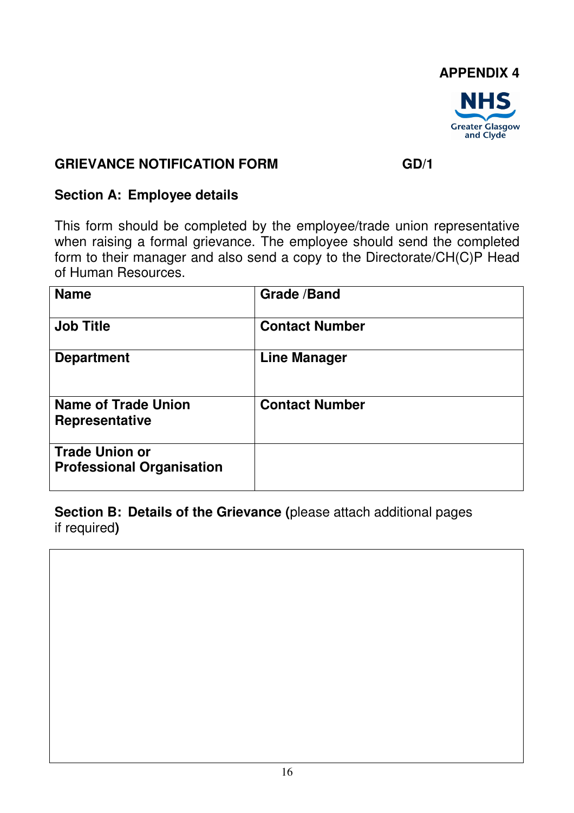

## **GRIEVANCE NOTIFICATION FORM GD/1**

## **Section A: Employee details**

This form should be completed by the employee/trade union representative when raising a formal grievance. The employee should send the completed form to their manager and also send a copy to the Directorate/CH(C)P Head of Human Resources.

| <b>Name</b>                                               | <b>Grade /Band</b>    |
|-----------------------------------------------------------|-----------------------|
| <b>Job Title</b>                                          | <b>Contact Number</b> |
| <b>Department</b>                                         | <b>Line Manager</b>   |
| <b>Name of Trade Union</b><br><b>Representative</b>       | <b>Contact Number</b> |
| <b>Trade Union or</b><br><b>Professional Organisation</b> |                       |

**Section B: Details of the Grievance (**please attach additional pages if required**)**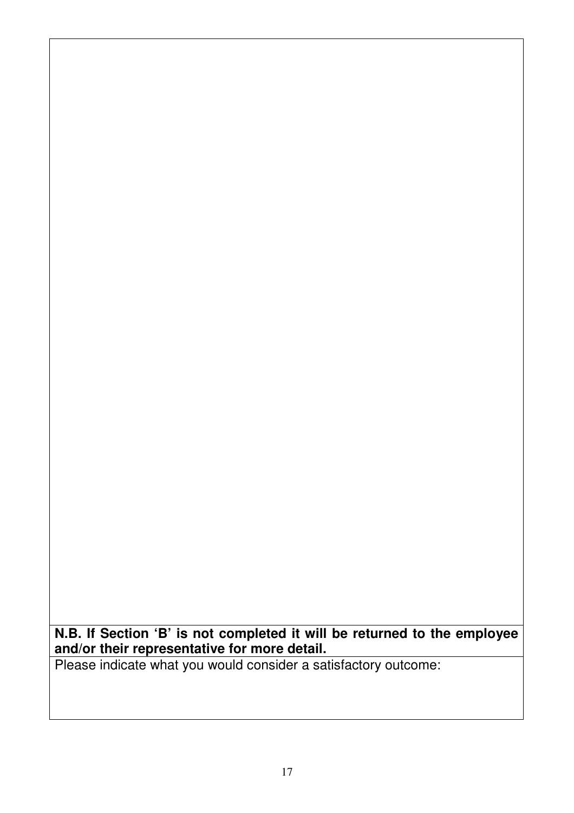**N.B. If Section 'B' is not completed it will be returned to the employee and/or their representative for more detail.** 

Please indicate what you would consider a satisfactory outcome: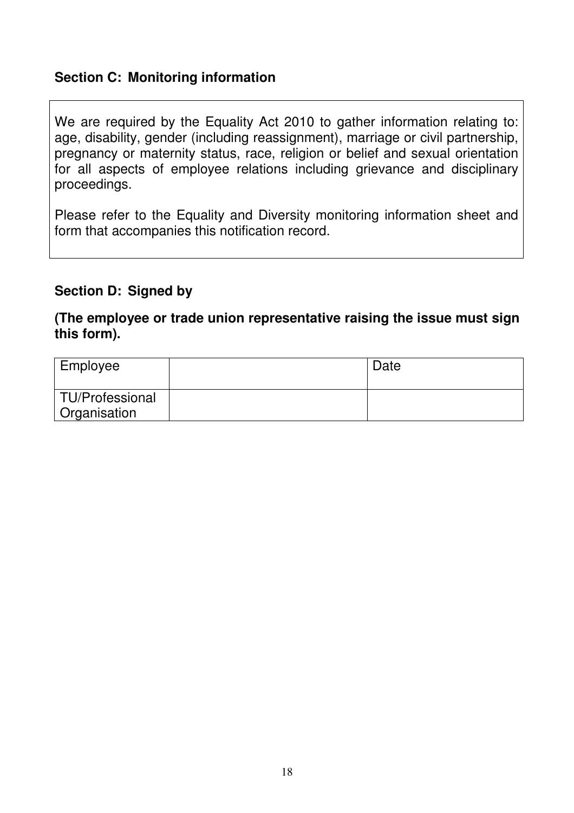## **Section C: Monitoring information**

We are required by the Equality Act 2010 to gather information relating to: age, disability, gender (including reassignment), marriage or civil partnership, pregnancy or maternity status, race, religion or belief and sexual orientation for all aspects of employee relations including grievance and disciplinary proceedings.

Please refer to the Equality and Diversity monitoring information sheet and form that accompanies this notification record.

## **Section D: Signed by**

#### **(The employee or trade union representative raising the issue must sign this form).**

| Employee                        | Date |
|---------------------------------|------|
| TU/Professional<br>Organisation |      |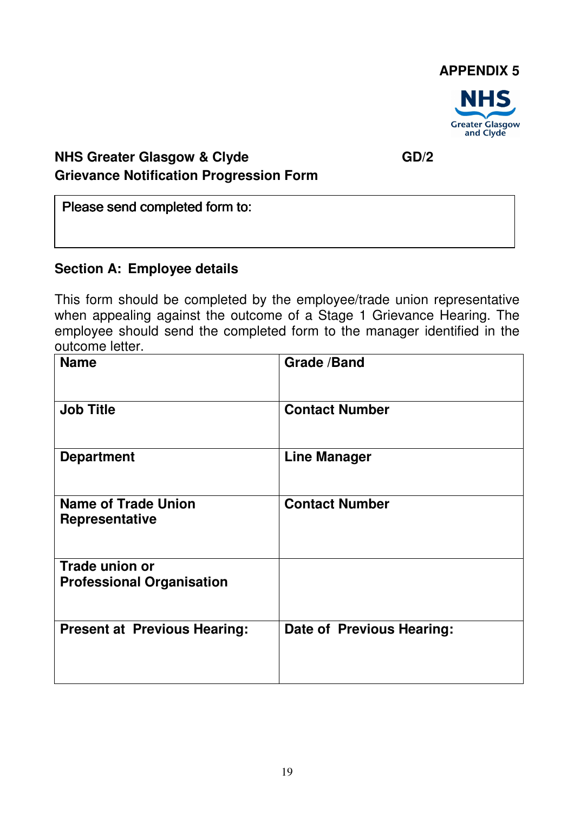

## **NHS Greater Glasgow & Clyde** GD/2 **Grievance Notification Progression Form**

Please send completed form to:

## **Section A: Employee details**

This form should be completed by the employee/trade union representative when appealing against the outcome of a Stage 1 Grievance Hearing. The employee should send the completed form to the manager identified in the outcome letter.

| <b>Name</b>                                         | <b>Grade /Band</b>        |
|-----------------------------------------------------|---------------------------|
| <b>Job Title</b>                                    | <b>Contact Number</b>     |
| <b>Department</b>                                   | <b>Line Manager</b>       |
| <b>Name of Trade Union</b><br><b>Representative</b> | <b>Contact Number</b>     |
| Trade union or<br><b>Professional Organisation</b>  |                           |
| <b>Present at Previous Hearing:</b>                 | Date of Previous Hearing: |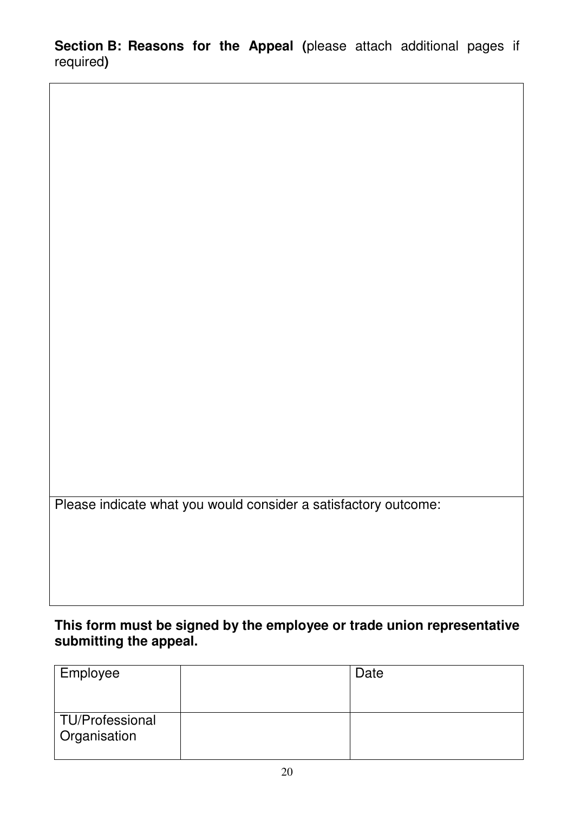**Section B: Reasons for the Appeal (**please attach additional pages if required**)**

Please indicate what you would consider a satisfactory outcome:

## **This form must be signed by the employee or trade union representative submitting the appeal.**

| Employee                        | Date |
|---------------------------------|------|
|                                 |      |
| TU/Professional<br>Organisation |      |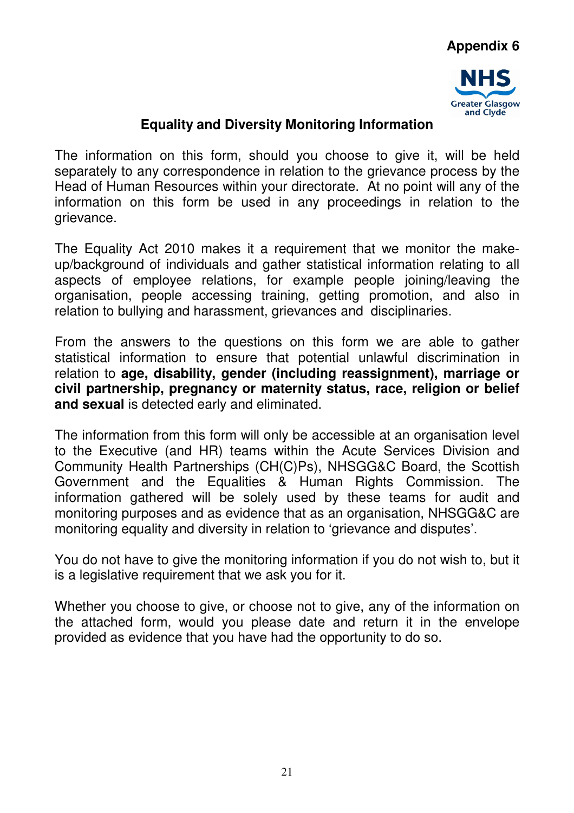

## **Equality and Diversity Monitoring Information**

The information on this form, should you choose to give it, will be held separately to any correspondence in relation to the grievance process by the Head of Human Resources within your directorate. At no point will any of the information on this form be used in any proceedings in relation to the grievance.

The Equality Act 2010 makes it a requirement that we monitor the makeup/background of individuals and gather statistical information relating to all aspects of employee relations, for example people joining/leaving the organisation, people accessing training, getting promotion, and also in relation to bullying and harassment, grievances and disciplinaries.

From the answers to the questions on this form we are able to gather statistical information to ensure that potential unlawful discrimination in relation to **age, disability, gender (including reassignment), marriage or civil partnership, pregnancy or maternity status, race, religion or belief and sexual** is detected early and eliminated.

The information from this form will only be accessible at an organisation level to the Executive (and HR) teams within the Acute Services Division and Community Health Partnerships (CH(C)Ps), NHSGG&C Board, the Scottish Government and the Equalities & Human Rights Commission. The information gathered will be solely used by these teams for audit and monitoring purposes and as evidence that as an organisation, NHSGG&C are monitoring equality and diversity in relation to 'grievance and disputes'.

You do not have to give the monitoring information if you do not wish to, but it is a legislative requirement that we ask you for it.

Whether you choose to give, or choose not to give, any of the information on the attached form, would you please date and return it in the envelope provided as evidence that you have had the opportunity to do so.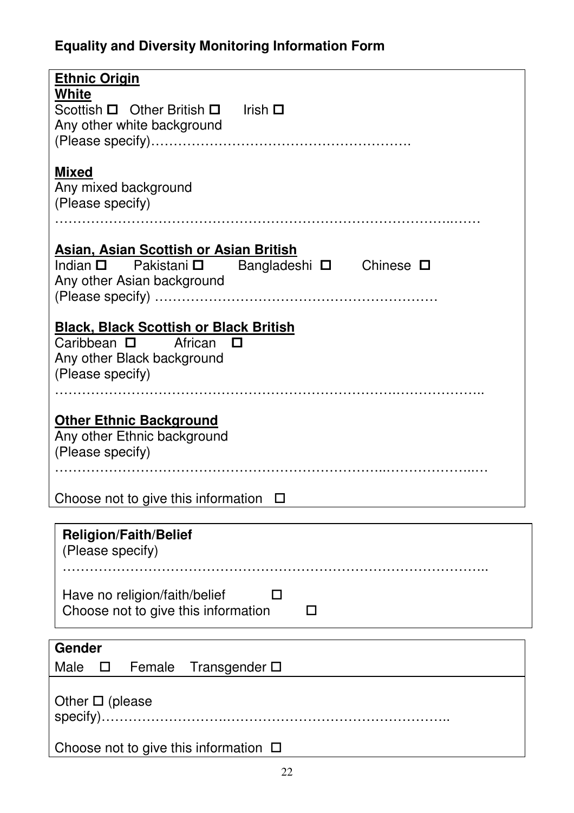# **Equality and Diversity Monitoring Information Form**

| <b>Ethnic Origin</b>                                                                          |
|-----------------------------------------------------------------------------------------------|
| White                                                                                         |
| Scottish $\Box$ Other British $\Box$ Irish $\Box$                                             |
| Any other white background                                                                    |
|                                                                                               |
| <b>Mixed</b>                                                                                  |
| Any mixed background                                                                          |
| (Please specify)                                                                              |
|                                                                                               |
|                                                                                               |
| <b>Asian, Asian Scottish or Asian British</b><br>Indian □ Pakistani □ Bangladeshi □ Chinese □ |
| Any other Asian background                                                                    |
|                                                                                               |
|                                                                                               |
| <b>Black, Black Scottish or Black British</b>                                                 |
| Caribbean $\square$ African $\square$                                                         |
| Any other Black background                                                                    |
| (Please specify)                                                                              |
|                                                                                               |
| <b>Other Ethnic Background</b>                                                                |
| Any other Ethnic background                                                                   |
| (Please specify)                                                                              |
|                                                                                               |
|                                                                                               |
| Choose not to give this information $\square$                                                 |
|                                                                                               |
| <b>Religion/Faith/Belief</b><br>(Please specify)                                              |
| .                                                                                             |
|                                                                                               |
| Have no religion/faith/belief<br>П                                                            |
| Choose not to give this information<br>LΙ                                                     |
|                                                                                               |
| Gender                                                                                        |
| Male<br>Female<br>Transgender $\square$<br>□                                                  |
|                                                                                               |
| Other $\square$ (please                                                                       |
|                                                                                               |
|                                                                                               |
| Choose not to give this information $\Box$                                                    |